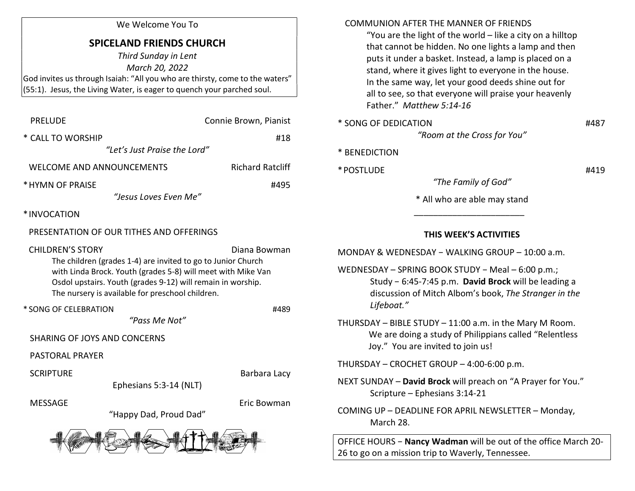#### We Welcome You To

# SPICELAND FRIENDS CHURCH

Third Sunday in Lent March 20, 2022 God invites us through Isaiah: "All you who are thirsty, come to the waters" (55:1). Jesus, the Living Water, is eager to quench your parched soul.

| <b>PRELUDE</b>                                                                                                                                                                                                                                                                             | Connie Brown, Pianist   |
|--------------------------------------------------------------------------------------------------------------------------------------------------------------------------------------------------------------------------------------------------------------------------------------------|-------------------------|
| * CALL TO WORSHIP                                                                                                                                                                                                                                                                          | #18                     |
| "Let's Just Praise the Lord"                                                                                                                                                                                                                                                               |                         |
| <b>WELCOME AND ANNOUNCEMENTS</b>                                                                                                                                                                                                                                                           | <b>Richard Ratcliff</b> |
| * HYMN OF PRAISE                                                                                                                                                                                                                                                                           | #495                    |
| "Jesus Loves Even Me"                                                                                                                                                                                                                                                                      |                         |
| *INVOCATION                                                                                                                                                                                                                                                                                |                         |
| PRESENTATION OF OUR TITHES AND OFFERINGS                                                                                                                                                                                                                                                   |                         |
| <b>CHILDREN'S STORY</b><br>Diana Bowman<br>The children (grades 1-4) are invited to go to Junior Church<br>with Linda Brock. Youth (grades 5-8) will meet with Mike Van<br>Osdol upstairs. Youth (grades 9-12) will remain in worship.<br>The nursery is available for preschool children. |                         |
| * SONG OF CELEBRATION                                                                                                                                                                                                                                                                      | #489                    |
| "Pass Me Not"                                                                                                                                                                                                                                                                              |                         |
| <b>SHARING OF JOYS AND CONCERNS</b>                                                                                                                                                                                                                                                        |                         |
| <b>PASTORAL PRAYER</b>                                                                                                                                                                                                                                                                     |                         |
| <b>SCRIPTURE</b>                                                                                                                                                                                                                                                                           | Barbara Lacy            |
| Ephesians 5:3-14 (NLT)                                                                                                                                                                                                                                                                     |                         |
| <b>MESSAGE</b>                                                                                                                                                                                                                                                                             | Eric Bowman             |
| "Happy Dad, Proud Dad"                                                                                                                                                                                                                                                                     |                         |
|                                                                                                                                                                                                                                                                                            |                         |

#### COMMUNION AFTER THE MANNER OF FRIENDS

 "You are the light of the world – like a city on a hilltop that cannot be hidden. No one lights a lamp and then puts it under a basket. Instead, a lamp is placed on a stand, where it gives light to everyone in the house. In the same way, let your good deeds shine out for all to see, so that everyone will praise your heavenly Father." Matthew 5:14-16

\* SONG OF DEDICATION #487 "Room at the Cross for You"

### \* BENEDICTION

 $*$  POSTLUDE  $#419$ 

"The Family of God"

\* All who are able may stand

## THIS WEEK'S ACTIVITIES

MONDAY & WEDNESDAY − WALKING GROUP – 10:00 a.m.

 $\frac{1}{\sqrt{2}}$  ,  $\frac{1}{\sqrt{2}}$  ,  $\frac{1}{\sqrt{2}}$  ,  $\frac{1}{\sqrt{2}}$  ,  $\frac{1}{\sqrt{2}}$  ,  $\frac{1}{\sqrt{2}}$  ,  $\frac{1}{\sqrt{2}}$  ,  $\frac{1}{\sqrt{2}}$  ,  $\frac{1}{\sqrt{2}}$  ,  $\frac{1}{\sqrt{2}}$  ,  $\frac{1}{\sqrt{2}}$  ,  $\frac{1}{\sqrt{2}}$  ,  $\frac{1}{\sqrt{2}}$  ,  $\frac{1}{\sqrt{2}}$  ,  $\frac{1}{\sqrt{2}}$ 

- WEDNESDAY SPRING BOOK STUDY − Meal 6:00 p.m.; Study − 6:45-7:45 p.m. David Brock will be leading a discussion of Mitch Albom's book, The Stranger in the Lifeboat."
- THURSDAY BIBLE STUDY 11:00 a.m. in the Mary M Room. We are doing a study of Philippians called "Relentless Joy." You are invited to join us!

THURSDAY – CROCHET GROUP – 4:00-6:00 p.m.

- NEXT SUNDAY David Brock will preach on "A Prayer for You." Scripture – Ephesians 3:14-21
- COMING UP DEADLINE FOR APRIL NEWSLETTER Monday, March 28.

OFFICE HOURS − Nancy Wadman will be out of the office March 20- 26 to go on a mission trip to Waverly, Tennessee.